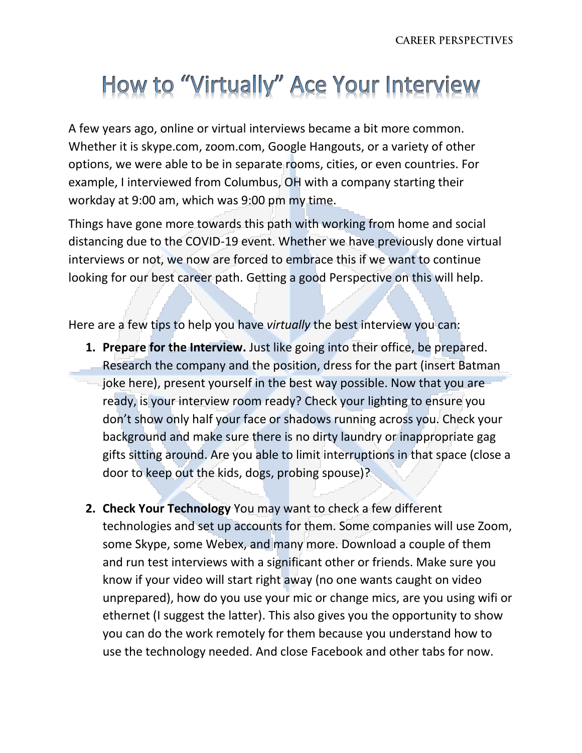## How to "Virtually" Ace Your Interview

A few years ago, online or virtual interviews became a bit more common. Whether it is skype.com, zoom.com, Google Hangouts, or a variety of other options, we were able to be in separate rooms, cities, or even countries. For example, I interviewed from Columbus, OH with a company starting their workday at 9:00 am, which was 9:00 pm my time.

Things have gone more towards this path with working from home and social distancing due to the COVID-19 event. Whether we have previously done virtual interviews or not, we now are forced to embrace this if we want to continue looking for our best career path. Getting a good Perspective on this will help.

Here are a few tips to help you have *virtually* the best interview you can:

- **1. Prepare for the Interview.** Just like going into their office, be prepared. Research the company and the position, dress for the part (insert Batman joke here), present yourself in the best way possible. Now that you are ready, is your interview room ready? Check your lighting to ensure you don't show only half your face or shadows running across you. Check your background and make sure there is no dirty laundry or inappropriate gag gifts sitting around. Are you able to limit interruptions in that space (close a door to keep out the kids, dogs, probing spouse)?
- **2. Check Your Technology** You may want to check a few different technologies and set up accounts for them. Some companies will use Zoom, some Skype, some Webex, and many more. Download a couple of them and run test interviews with a significant other or friends. Make sure you know if your video will start right away (no one wants caught on video unprepared), how do you use your mic or change mics, are you using wifi or ethernet (I suggest the latter). This also gives you the opportunity to show you can do the work remotely for them because you understand how to use the technology needed. And close Facebook and other tabs for now.